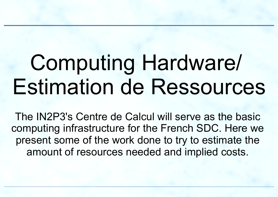# Computing Hardware/ Estimation de Ressources

The IN2P3's Centre de Calcul will serve as the basic computing infrastructure for the French SDC. Here we present some of the work done to try to estimate the amount of resources needed and implied costs.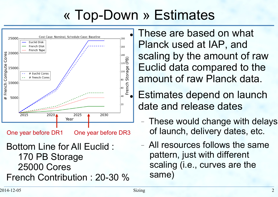## « Top-Down » Estimates



One year before DR1 One year before DR3

Bottom Line for All Euclid : 170 PB Storage 25000 Cores French Contribution : 20-30 % These are based on what Planck used at IAP, and scaling by the amount of raw Euclid data compared to the amount of raw Planck data.

**Estimates depend on launch** date and release dates

- These would change with delays of launch, delivery dates, etc.
- All resources follows the same pattern, just with different scaling (i.e., curves are the same)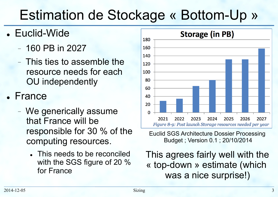## Estimation de Stockage « Bottom-Up »

- Euclid-Wide
	- 160 PB in 2027
	- This ties to assemble the resource needs for each OU independently
- France
	- We generically assume that France will be responsible for 30 % of the computing resources.
		- This needs to be reconciled with the SGS figure of 20 % for France



#### Euclid SGS Architecture Dossier Processing Budget ; Version 0.1 ; 20/10/2014

This agrees fairly well with the « top-down » estimate (which was a nice surprise!)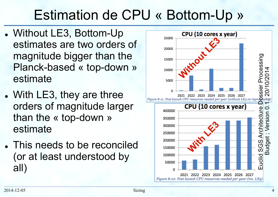## Estimation de CPU « Bottom-Up »

- Without LE3, Bottom-Up estimates are two orders of magnitude bigger than the Planck-based « top-down » estimate
- With LE3, they are three orders of magnitude larger than the « top-down » estimate
- This needs to be reconciled (or at least understood by all)

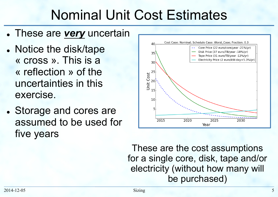#### Nominal Unit Cost Estimates

- These are *very* uncertain
- Notice the disk/tape « cross ». This is a « reflection » of the uncertainties in this exercise.
- Storage and cores are assumed to be used for five years



These are the cost assumptions for a single core, disk, tape and/or electricity (without how many will be purchased)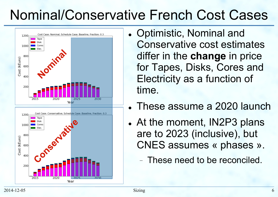#### Nominal/Conservative French Cost Cases



- Optimistic, Nominal and Conservative cost estimates differ in the **change** in price for Tapes, Disks, Cores and Electricity as a function of time.
- These assume a 2020 launch
- At the moment, IN2P3 plans are to 2023 (inclusive), but CNES assumes « phases ».
	- These need to be reconciled.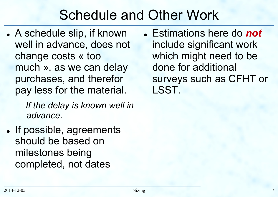#### Schedule and Other Work

- A schedule slip, if known well in advance, does not change costs « too much », as we can delay purchases, and therefor pay less for the material.
	- *If the delay is known well in advance.*
- If possible, agreements should be based on milestones being completed, not dates

**.** Estimations here do **not** include significant work which might need to be done for additional surveys such as CFHT or LSST.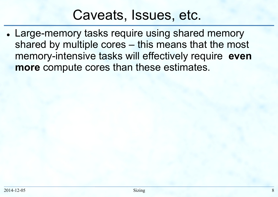#### Caveats, Issues, etc.

• Large-memory tasks require using shared memory shared by multiple cores – this means that the most memory-intensive tasks will effectively require **even more** compute cores than these estimates.